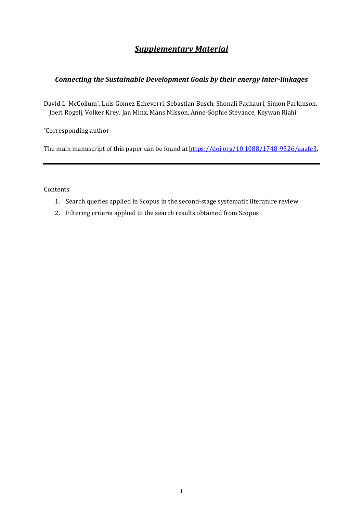## *Supplementary Material*

## *Connecting the Sustainable Development Goals by their energy inter-linkages*

David L. McCollum\*, Luis Gomez Echeverri, Sebastian Busch, Shonali Pachauri, Simon Parkinson, Joeri Rogelj, Volker Krey, Jan Minx, Måns Nilsson, Anne-Sophie Stevance, Keywan Riahi

\*Corresponding author

The main manuscript of this paper can be found a[t https://doi.org/10.1088/1748-9326/aaafe3.](https://doi.org/10.1088/1748-9326/aaafe3)

Contents

- 1. Search queries applied in Scopus in the second-stage systematic literature review
- 2. Filtering criteria applied to the search results obtained from Scopus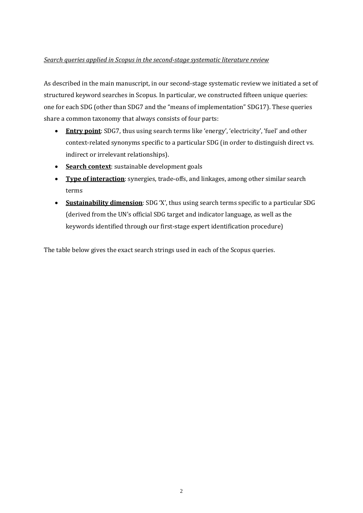## *Search queries applied in Scopus in the second-stage systematic literature review*

As described in the main manuscript, in our second-stage systematic review we initiated a set of structured keyword searches in Scopus. In particular, we constructed fifteen unique queries: one for each SDG (other than SDG7 and the "means of implementation" SDG17). These queries share a common taxonomy that always consists of four parts:

- **Entry point**: SDG7, thus using search terms like 'energy', 'electricity', 'fuel' and other context-related synonyms specific to a particular SDG (in order to distinguish direct vs. indirect or irrelevant relationships).
- **Search context**: sustainable development goals
- **Type of interaction**: synergies, trade-offs, and linkages, among other similar search terms
- **Sustainability dimension**: SDG 'X', thus using search terms specific to a particular SDG (derived from the UN's official SDG target and indicator language, as well as the keywords identified through our first-stage expert identification procedure)

The table below gives the exact search strings used in each of the Scopus queries.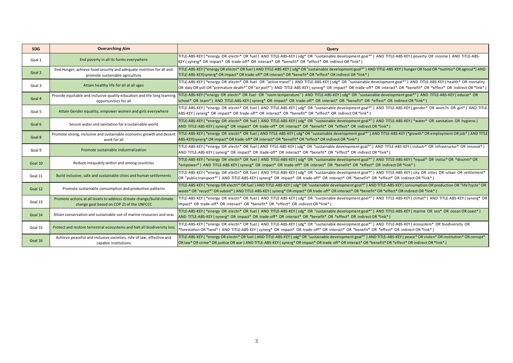| <b>SDG</b> | <b>Overarching Aim</b>                                                                                             | Query                                                                                                                                                                                                                                                                                                                                        |
|------------|--------------------------------------------------------------------------------------------------------------------|----------------------------------------------------------------------------------------------------------------------------------------------------------------------------------------------------------------------------------------------------------------------------------------------------------------------------------------------|
| Goal 1     | End poverty in all its forms everywhere                                                                            | TITLE-ABS-KEY (*energy OR electri* OR fuel) AND TITLE-ABS-KEY (sdg* OR "sustainable development goal*") AND TITLE-ABS-KEY (poverty OR income) AND TITLE-ABS-<br>KEY (synerg* OR impact* OR trade-off* OR interact* OR *benefit* OR *effect* OR indirect OR *link*)                                                                           |
| Goal 2     | End Hunger, achieve food security and adequate nutrition for all and<br>promote sustainable agriculture            | TITLE-ABS-KEY (*energy OR electri* OR fuel) AND TITLE-ABS-KEY (sdg* OR "sustainable development goal*") AND TITLE-ABS-KEY (hunger OR food OR *nutritio* OR agricul*) AND<br>TITLE-ABS-KEY(synerg* OR impact* OR trade-off* OR interact* OR *benefit* OR *effect* OR indirect OR *link*)                                                      |
| Goal 3     | Attain healthy life for all at all ages                                                                            | TITLE-ABS-KEY (*energy OR electri* OR fuel OR "active travel") AND TITLE-ABS-KEY (sdg* OR "sustainable development goal*") AND TITLE-ABS-KEY (health* OR mortality<br>OR daly OR yoll OR "premature death*" OR "air poll*") AND TITLE-ABS-KEY (synerg* OR impact* OR trade-off* OR interact* OR *benefit* OR *effect* OR indirect OR *link*) |
| Goal 4     | Provide equitable and inclusive quality education and life long learning<br>opportunities for all                  | TITLE-ABS-KEY (*energy OR electri* OR fuel OR "room temperature") AND TITLE-ABS-KEY (sdg* OR "sustainable development goal*") AND TITLE-ABS-KEY (educat* OR<br>school* OR learn*) AND TITLE-ABS-KEY (synerg* OR impact* OR trade-off* OR interact* OR *benefit* OR *effect* OR indirect OR *link*)                                           |
| Goal 5     | Attain Gender equality, empower women and girls everywhere                                                         | TITLE-ABS-KEY (*energy OR electri* OR fuel) AND TITLE-ABS-KEY (sdg* OR "sustainable development goal*") AND TITLE-ABS-KEY (gender* OR wom?n OR girl*) AND TITLE-<br>ABS-KEY ( synerg* OR impact* OR trade-off* OR interact* OR *benefit* OR *effect* OR indirect OR *link*)                                                                  |
| Goal 6     | Secure water and sanitation for a sustainable world                                                                | TITLE-ABS-KEY (*energy OR electri* OR fuel) AND TITLE-ABS-KEY (sdg* OR "sustainable development goal*") AND TITLE-ABS-KEY (*water* OR sanitation OR hygiene)<br>AND TITLE-ABS-KEY (synerg* OR impact* OR trade-off* OR interact* OR *benefit* OR *effect* OR indirect OR *link*)                                                             |
| Goal 8     | Promote strong, inclusive and sustainable economic growth and decen<br>work for all                                | TITLE-ABS-KEY (*energy OR electri* OR fuel) AND TITLE-ABS-KEY (sdg* OR "sustainable development goal*") AND TITLE-ABS-KEY (*growth* OR employment OR job*) AND TITLE-<br>ABS-KEY(synerg* OR impact* OR trade-off* OR interact* OR *benefit* OR *effect* OR indirect OR *link*)                                                               |
| Goal 9     | Promote sustainable industrialization                                                                              | TITLE-ABS-KEY (*energy OR electri* OR fuel) AND TITLE-ABS-KEY (sdg* OR "sustainable development goal*") AND TITLE-ABS-KEY (industr* OR infrastructur* OR innovat*)<br>AND TITLE-ABS-KEY (synerg* OR impact* OR trade-off* OR interact* OR *benefit* OR *effect* OR indirect OR *link*)                                                       |
| Goal 10    | Reduce inequality within and among countries                                                                       | TITLE-ABS-KEY (*energy OR electri* OR fuel) AND TITLE-ABS-KEY (sdg* OR "sustainable development goal*") AND TITLE-ABS-KEY (*equal* OR inclus* OR *discrim* OR<br>*empower*) AND TITLE-ABS-KEY (synerg* OR impact* OR trade-off* OR interact* OR *benefit* OR *effect* OR indirect OR *link*)                                                 |
| Goal 11    | Build inclusive, safe and sustainable cities and human settlements                                                 | TITLE-ABS-KEY (*energy OR electri* OR fuel) AND TITLE-ABS-KEY (sdg* OR "sustainable development goal*") AND TITLE-ABS-KEY (city OR cities OR urban OR settlement*<br>OR "public transport*") AND TITLE-ABS-KEY (synerg* OR impact* OR trade-off* OR interact* OR *benefit* OR *effect* OR indirect OR *link*)                                |
| Goal 12    | Promote sustainable consumption and production patterns                                                            | TITLE-ABS-KEY (*energy OR electri* OR fuel) AND TITLE-ABS-KEY (sdg* OR "sustainable development goal*") AND TITLE-ABS-KEY (consumption OR production OR "life?cycle" OR<br>waste* OR "recycl*" OR subsid*) AND TITLE-ABS-KEY (synerg* OR impact* OR trade-off* OR interact* OR *benefit* OR *effect* OR indirect OR *link*)                  |
| Goal 13    | Promote actions at all levels to address climate change/build climate<br>change goal based on COP 21 of the UNFCCC | TITLE-ABS-KEY (*energy OR electri* OR fuel) AND TITLE-ABS-KEY (sdg* OR "sustainable development goal*") AND TITLE-ABS-KEY (climat*) AND TITLE-ABS-KEY (synerg* OR<br>impact* OR trade-off* OR interact* OR *benefit* OR *effect* OR indirect OR *link*)                                                                                      |
| Goal 14    | Attain conservation and sustainable use of marine resources and seas                                               | TITLE-ABS-KEY (*energy OR electri* OR fuel) AND TITLE-ABS-KEY (sdg* OR "sustainable development goal*") AND TITLE-ABS-KEY (marine OR sea* OR ocean OR coast*)<br>AND TITLE-ABS-KEY (synerg* OR impact* OR trade-off* OR interact* OR *benefit* OR *effect* OR indirect OR *link*)                                                            |
| Goal 15    | Protect and restore terrestrial ecosystems and halt all biodiversity loss                                          | TITLE-ABS-KEY (*energy OR electri* OR fuel) AND TITLE-ABS-KEY (sdg* OR "sustainable development goal*") AND TITLE-ABS-KEY (ecosystem* OR biodiversity OR<br>*forestation OR *land*) AND TITLE-ABS-KEY (synerg* OR impact* OR trade-off* OR interact* OR *benefit* OR *effect* OR indirect OR *link*)                                         |
| Goal 16    | Achieve peaceful and inclusive societies, rule of law, effective and<br>capable institutions                       | TITLE-ABS-KEY (*energy OR electri* OR fuel) AND TITLE-ABS-KEY (sdg* OR "sustainable development goal*") AND TITLE-ABS-KEY (peace* OR violen* OR institution* OR corrupt*<br>OR law* OR crime* OR justice OR war) AND TITLE-ABS-KEY (synerg* OR impact* OR trade-off* OR interact* OR *benefit* OR *effect* OR indirect OR *link*)            |